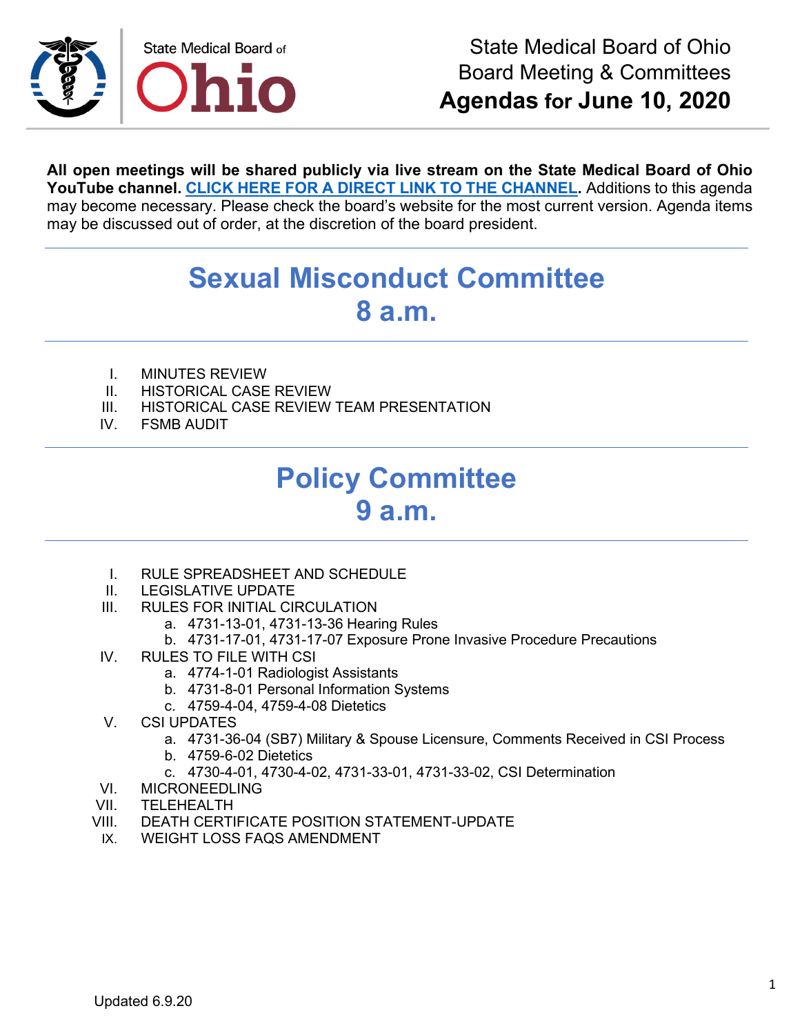

**All open meetings will be shared publicly via live stream on the State Medical Board of Ohio YouTube channel. [CLICK HERE FOR A DIRECT LINK TO THE CHANNEL.](https://www.youtube.com/channel/UCWBHBfwOyUtBZmBEZvtYPvA)** Additions to this agenda may become necessary. Please check the board's website for the most current version. Agenda items may be discussed out of order, at the discretion of the board president.

## **Sexual Misconduct Committee 8 a.m.**

- I. MINUTES REVIEW
- II. HISTORICAL CASE REVIEW
- III. HISTORICAL CASE REVIEW TEAM PRESENTATION<br>IV. FSMB AUDIT
- **FSMB AUDIT**

## **Policy Committee 9 a.m.**

- I. RULE SPREADSHEET AND SCHEDULE
- II. LEGISLATIVE UPDATE
- III. RULES FOR INITIAL CIRCULATION
	- a. 4731-13-01, 4731-13-36 Hearing Rules
	- b. 4731-17-01, 4731-17-07 Exposure Prone Invasive Procedure Precautions
- IV. RULES TO FILE WITH CSI
	- a. 4774-1-01 Radiologist Assistants
	- b. 4731-8-01 Personal Information Systems
	- c. 4759-4-04, 4759-4-08 Dietetics
- V. CSI UPDATES
	- a. 4731-36-04 (SB7) Military & Spouse Licensure, Comments Received in CSI Process
	- b. 4759-6-02 Dietetics
	- c. 4730-4-01, 4730-4-02, 4731-33-01, 4731-33-02, CSI Determination
- VI. MICRONEEDLING
- VII. TELEHEALTH
- VIII. DEATH CERTIFICATE POSITION STATEMENT-UPDATE
- IX. WEIGHT LOSS FAQS AMENDMENT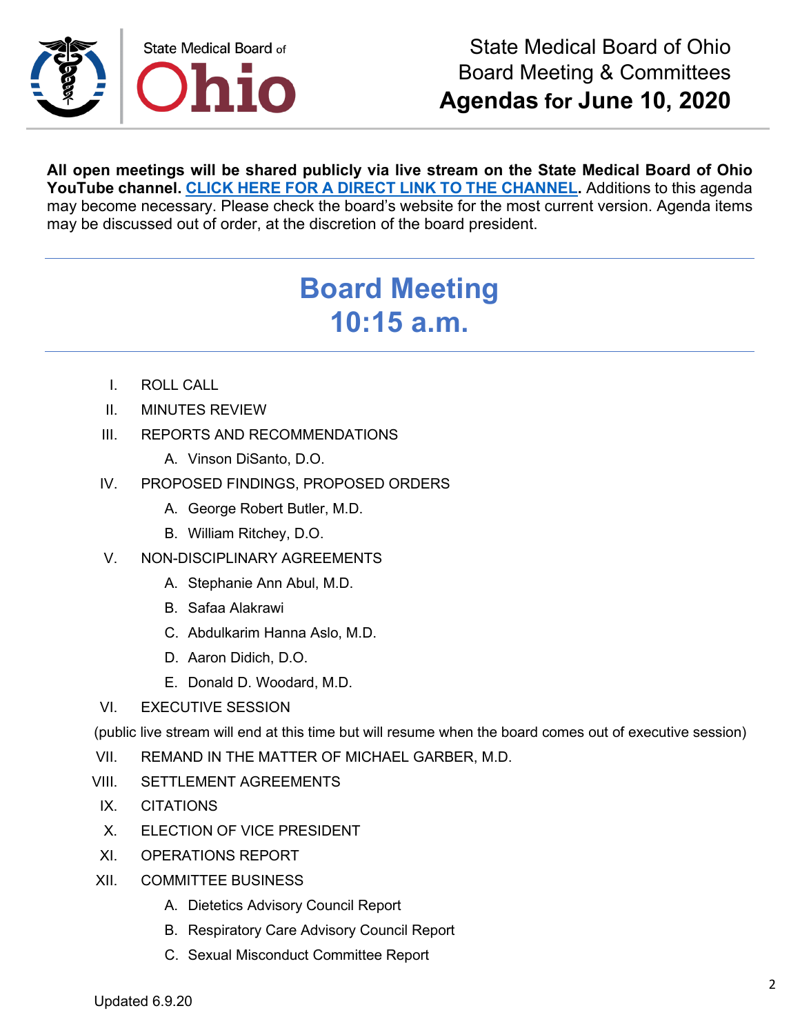

**All open meetings will be shared publicly via live stream on the State Medical Board of Ohio YouTube channel. [CLICK HERE FOR A DIRECT LINK TO THE CHANNEL.](https://www.youtube.com/channel/UCWBHBfwOyUtBZmBEZvtYPvA)** Additions to this agenda may become necessary. Please check the board's website for the most current version. Agenda items may be discussed out of order, at the discretion of the board president.

## **Board Meeting 10:15 a.m.**

- I. ROLL CALL
- II. MINUTES REVIEW
- III. REPORTS AND RECOMMENDATIONS
	- A. Vinson DiSanto, D.O.
- IV. PROPOSED FINDINGS, PROPOSED ORDERS
	- A. George Robert Butler, M.D.
	- B. William Ritchey, D.O.
- V. NON-DISCIPLINARY AGREEMENTS
	- A. Stephanie Ann Abul, M.D.
	- B. Safaa Alakrawi
	- C. Abdulkarim Hanna Aslo, M.D.
	- D. Aaron Didich, D.O.
	- E. Donald D. Woodard, M.D.
- VI. EXECUTIVE SESSION

(public live stream will end at this time but will resume when the board comes out of executive session)

- VII. REMAND IN THE MATTER OF MICHAEL GARBER, M.D.
- VIII. SETTLEMENT AGREEMENTS
- IX. CITATIONS
- X. ELECTION OF VICE PRESIDENT
- XI. OPERATIONS REPORT
- XII. COMMITTEE BUSINESS
	- A. Dietetics Advisory Council Report
	- B. Respiratory Care Advisory Council Report
	- C. Sexual Misconduct Committee Report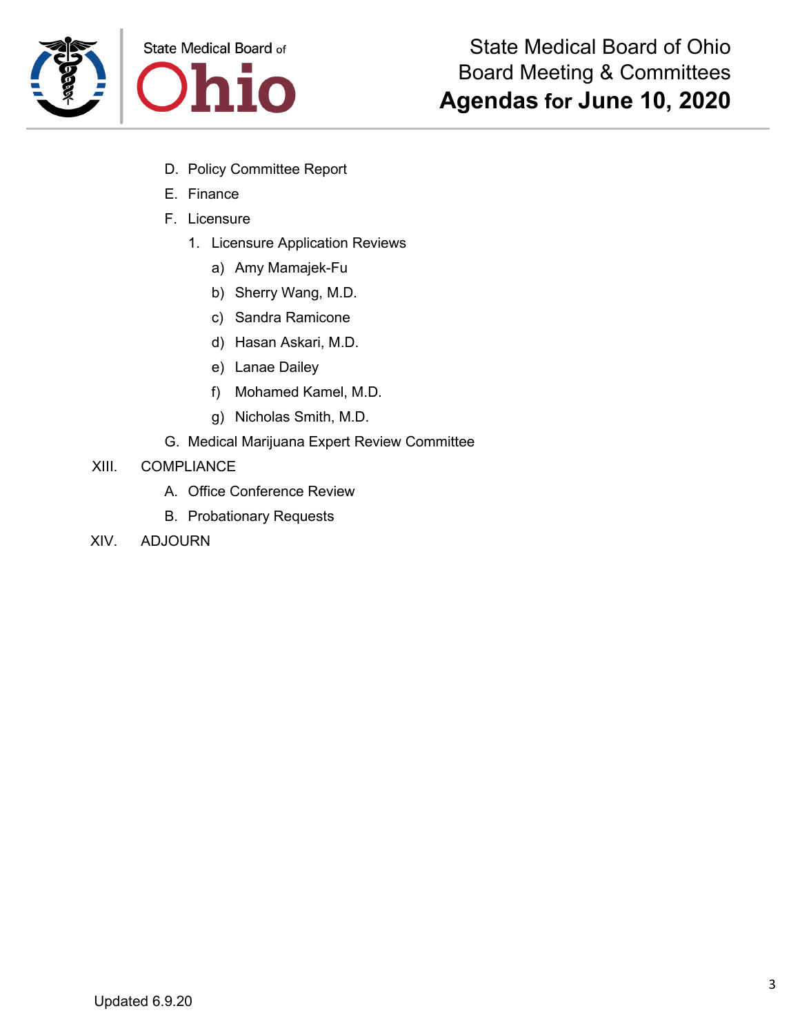



- D. Policy Committee Report
- E. Finance
- F. Licensure
	- 1. Licensure Application Reviews
		- a) Amy Mamajek-Fu
		- b) Sherry Wang, M.D.
		- c) Sandra Ramicone
		- d) Hasan Askari, M.D.
		- e) Lanae Dailey
		- f) Mohamed Kamel, M.D.
		- g) Nicholas Smith, M.D.
- G. Medical Marijuana Expert Review Committee
- XIII. COMPLIANCE
	- A. Office Conference Review
	- B. Probationary Requests
- XIV. ADJOURN